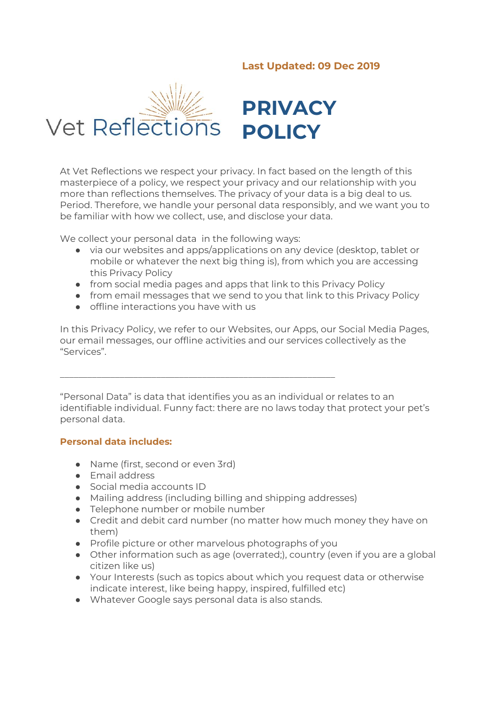# **Last Updated: 09 Dec 2019**



At Vet Reflections we respect your privacy. In fact based on the length of this masterpiece of a policy, we respect your privacy and our relationship with you more than reflections themselves. The privacy of your data is a big deal to us. Period. Therefore, we handle your personal data responsibly, and we want you to be familiar with how we collect, use, and disclose your data.

We collect your personal data in the following ways:

- via our websites and apps/applications on any device (desktop, tablet or mobile or whatever the next big thing is), from which you are accessing this Privacy Policy
- from social media pages and apps that link to this Privacy Policy
- from email messages that we send to you that link to this Privacy Policy
- offline interactions you have with us

In this Privacy Policy, we refer to our Websites, our Apps, our Social Media Pages, our email messages, our offline activities and our services collectively as the "Services".

"Personal Data" is data that identifies you as an individual or relates to an identifiable individual. Funny fact: there are no laws today that protect your pet's personal data.

### **Personal data includes:**

- Name (first, second or even 3rd)
- Email address
- Social media accounts ID
- Mailing address (including billing and shipping addresses)

\_\_\_\_\_\_\_\_\_\_\_\_\_\_\_\_\_\_\_\_\_\_\_\_\_\_\_\_\_\_\_\_\_\_\_\_\_\_\_\_\_\_\_\_\_\_\_\_\_\_\_\_\_\_\_\_\_\_\_\_

- Telephone number or mobile number
- Credit and debit card number (no matter how much money they have on them)
- Profile picture or other marvelous photographs of you
- Other information such as age (overrated;), country (even if you are a global citizen like us)
- Your Interests (such as topics about which you request data or otherwise indicate interest, like being happy, inspired, fulfilled etc)
- Whatever Google says personal data is also stands.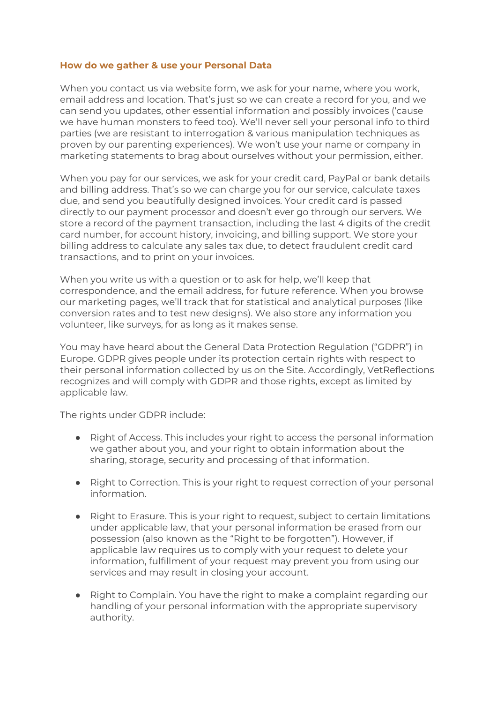### **How do we gather & use your Personal Data**

When you contact us via website form, we ask for your name, where you work, email address and location. That's just so we can create a record for you, and we can send you updates, other essential information and possibly invoices ('cause we have human monsters to feed too). We'll never sell your personal info to third parties (we are resistant to interrogation & various manipulation techniques as proven by our parenting experiences). We won't use your name or company in marketing statements to brag about ourselves without your permission, either.

When you pay for our services, we ask for your credit card, PayPal or bank details and billing address. That's so we can charge you for our service, calculate taxes due, and send you beautifully designed invoices. Your credit card is passed directly to our payment processor and doesn't ever go through our servers. We store a record of the payment transaction, including the last 4 digits of the credit card number, for account history, invoicing, and billing support. We store your billing address to calculate any sales tax due, to detect fraudulent credit card transactions, and to print on your invoices.

When you write us with a question or to ask for help, we'll keep that correspondence, and the email address, for future reference. When you browse our marketing pages, we'll track that for statistical and analytical purposes (like conversion rates and to test new designs). We also store any information you volunteer, like surveys, for as long as it makes sense.

You may have heard about the General Data Protection Regulation ("GDPR") in Europe. GDPR gives people under its protection certain rights with respect to their personal information collected by us on the Site. Accordingly, VetReflections recognizes and will comply with GDPR and those rights, except as limited by applicable law.

The rights under GDPR include:

- Right of Access. This includes your right to access the personal information we gather about you, and your right to obtain information about the sharing, storage, security and processing of that information.
- Right to Correction. This is your right to request correction of your personal information.
- Right to Erasure. This is your right to request, subject to certain limitations under applicable law, that your personal information be erased from our possession (also known as the "Right to be forgotten"). However, if applicable law requires us to comply with your request to delete your information, fulfillment of your request may prevent you from using our services and may result in closing your account.
- Right to Complain. You have the right to make a complaint regarding our handling of your personal information with the appropriate supervisory authority.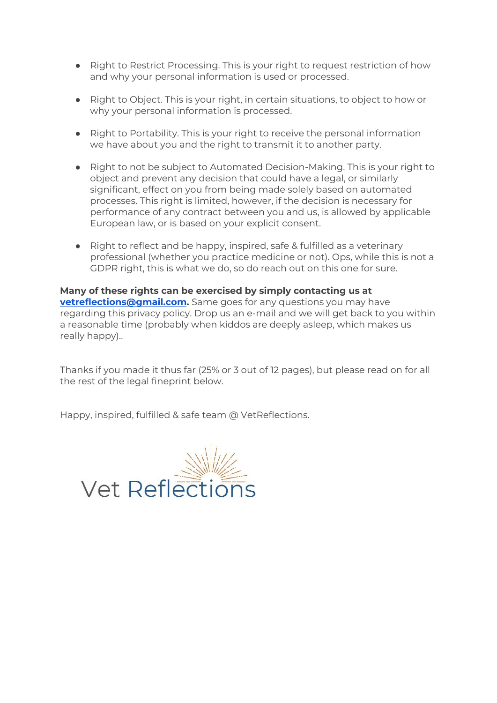- Right to Restrict Processing. This is your right to request restriction of how and why your personal information is used or processed.
- Right to Object. This is your right, in certain situations, to object to how or why your personal information is processed.
- Right to Portability. This is your right to receive the personal information we have about you and the right to transmit it to another party.
- Right to not be subject to Automated Decision-Making. This is your right to object and prevent any decision that could have a legal, or similarly significant, effect on you from being made solely based on automated processes. This right is limited, however, if the decision is necessary for performance of any contract between you and us, is allowed by applicable European law, or is based on your explicit consent.
- Right to reflect and be happy, inspired, safe & fulfilled as a veterinary professional (whether you practice medicine or not). Ops, while this is not a GDPR right, this is what we do, so do reach out on this one for sure.

**Many of these rights can be exercised by simply contacting us at [vetreflections@gmail.com.](mailto:vetreflections@gmail.com)** Same goes for any questions you may have regarding this privacy policy. Drop us an e-mail and we will get back to you within a reasonable time (probably when kiddos are deeply asleep, which makes us really happy)..

Thanks if you made it thus far (25% or 3 out of 12 pages), but please read on for all the rest of the legal fineprint below.

Happy, inspired, fulfilled & safe team @ VetReflections.

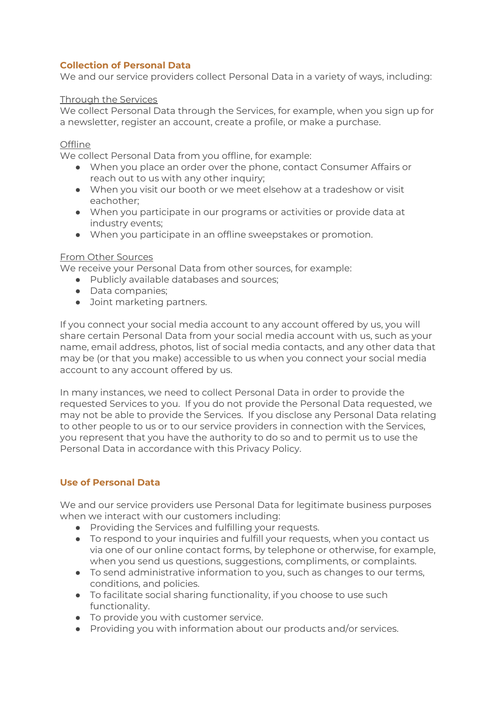# **Collection of Personal Data**

We and our service providers collect Personal Data in a variety of ways, including:

### Through the Services

We collect Personal Data through the Services, for example, when you sign up for a newsletter, register an account, create a profile, or make a purchase.

### **Offline**

We collect Personal Data from you offline, for example:

- When you place an order over the phone, contact Consumer Affairs or reach out to us with any other inquiry;
- When you visit our booth or we meet elsehow at a tradeshow or visit eachother;
- When you participate in our programs or activities or provide data at industry events;
- When you participate in an offline sweepstakes or promotion.

### From Other Sources

We receive your Personal Data from other sources, for example:

- Publicly available databases and sources;
- Data companies;
- Joint marketing partners.

If you connect your social media account to any account offered by us, you will share certain Personal Data from your social media account with us, such as your name, email address, photos, list of social media contacts, and any other data that may be (or that you make) accessible to us when you connect your social media account to any account offered by us.

In many instances, we need to collect Personal Data in order to provide the requested Services to you. If you do not provide the Personal Data requested, we may not be able to provide the Services. If you disclose any Personal Data relating to other people to us or to our service providers in connection with the Services, you represent that you have the authority to do so and to permit us to use the Personal Data in accordance with this Privacy Policy.

## **Use of Personal Data**

We and our service providers use Personal Data for legitimate business purposes when we interact with our customers including:

- Providing the Services and fulfilling your requests.
- To respond to your inquiries and fulfill your requests, when you contact us via one of our online contact forms, by telephone or otherwise, for example, when you send us questions, suggestions, compliments, or complaints.
- To send administrative information to you, such as changes to our terms, conditions, and policies.
- To facilitate social sharing functionality, if you choose to use such functionality.
- To provide you with customer service.
- Providing you with information about our products and/or services.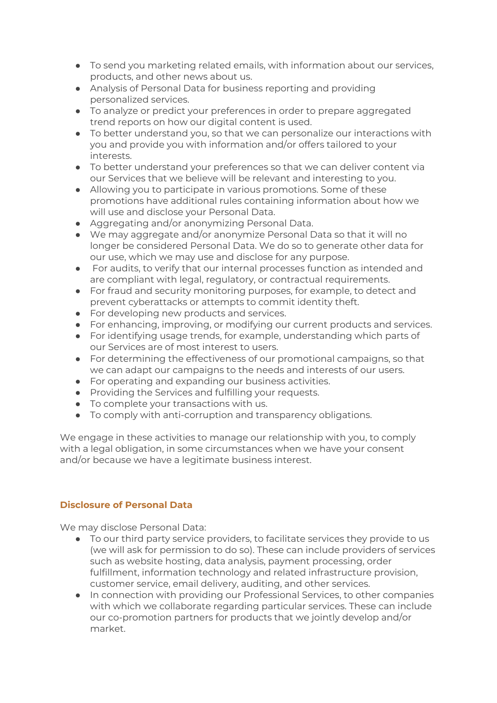- To send you marketing related emails, with information about our services, products, and other news about us.
- Analysis of Personal Data for business reporting and providing personalized services.
- To analyze or predict your preferences in order to prepare aggregated trend reports on how our digital content is used.
- To better understand you, so that we can personalize our interactions with you and provide you with information and/or offers tailored to your interests.
- To better understand your preferences so that we can deliver content via our Services that we believe will be relevant and interesting to you.
- Allowing you to participate in various promotions. Some of these promotions have additional rules containing information about how we will use and disclose your Personal Data.
- Aggregating and/or anonymizing Personal Data.
- We may aggregate and/or anonymize Personal Data so that it will no longer be considered Personal Data. We do so to generate other data for our use, which we may use and disclose for any purpose.
- For audits, to verify that our internal processes function as intended and are compliant with legal, regulatory, or contractual requirements.
- For fraud and security monitoring purposes, for example, to detect and prevent cyberattacks or attempts to commit identity theft.
- For developing new products and services.
- For enhancing, improving, or modifying our current products and services.
- For identifying usage trends, for example, understanding which parts of our Services are of most interest to users.
- For determining the effectiveness of our promotional campaigns, so that we can adapt our campaigns to the needs and interests of our users.
- For operating and expanding our business activities.
- Providing the Services and fulfilling your requests.
- To complete your transactions with us.
- To comply with anti-corruption and transparency obligations.

We engage in these activities to manage our relationship with you, to comply with a legal obligation, in some circumstances when we have your consent and/or because we have a legitimate business interest.

## **Disclosure of Personal Data**

We may disclose Personal Data:

- To our third party service providers, to facilitate services they provide to us (we will ask for permission to do so). These can include providers of services such as website hosting, data analysis, payment processing, order fulfillment, information technology and related infrastructure provision, customer service, email delivery, auditing, and other services.
- In connection with providing our Professional Services, to other companies with which we collaborate regarding particular services. These can include our co-promotion partners for products that we jointly develop and/or market.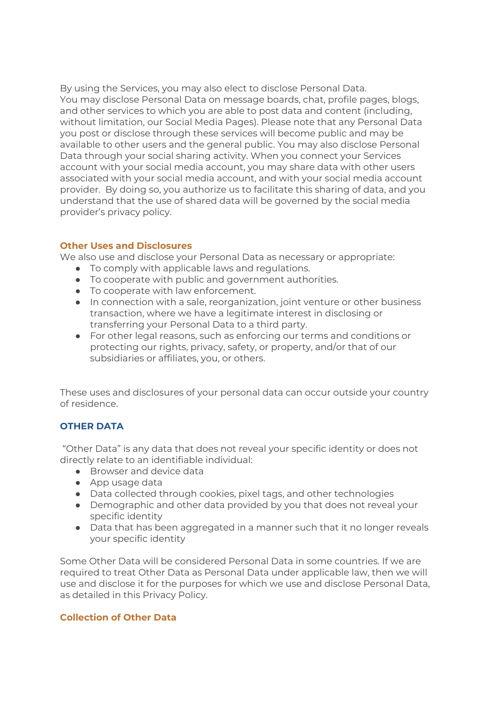By using the Services, you may also elect to disclose Personal Data. You may disclose Personal Data on message boards, chat, profile pages, blogs, and other services to which you are able to post data and content (including, without limitation, our Social Media Pages). Please note that any Personal Data you post or disclose through these services will become public and may be available to other users and the general public. You may also disclose Personal Data through your social sharing activity. When you connect your Services account with your social media account, you may share data with other users associated with your social media account, and with your social media account provider. By doing so, you authorize us to facilitate this sharing of data, and you understand that the use of shared data will be governed by the social media provider's privacy policy.

## **Other Uses and Disclosures**

We also use and disclose your Personal Data as necessary or appropriate:

- To comply with applicable laws and regulations.
- To cooperate with public and government authorities.
- To cooperate with law enforcement.
- In connection with a sale, reorganization, joint venture or other business transaction, where we have a legitimate interest in disclosing or transferring your Personal Data to a third party.
- For other legal reasons, such as enforcing our terms and conditions or protecting our rights, privacy, safety, or property, and/or that of our subsidiaries or affiliates, you, or others.

These uses and disclosures of your personal data can occur outside your country of residence.

# **OTHER DATA**

"Other Data" is any data that does not reveal your specific identity or does not directly relate to an identifiable individual:

- Browser and device data
- App usage data
- Data collected through cookies, pixel tags, and other technologies
- Demographic and other data provided by you that does not reveal your specific identity
- Data that has been aggregated in a manner such that it no longer reveals your specific identity

Some Other Data will be considered Personal Data in some countries. If we are required to treat Other Data as Personal Data under applicable law, then we will use and disclose it for the purposes for which we use and disclose Personal Data, as detailed in this Privacy Policy.

## **Collection of Other Data**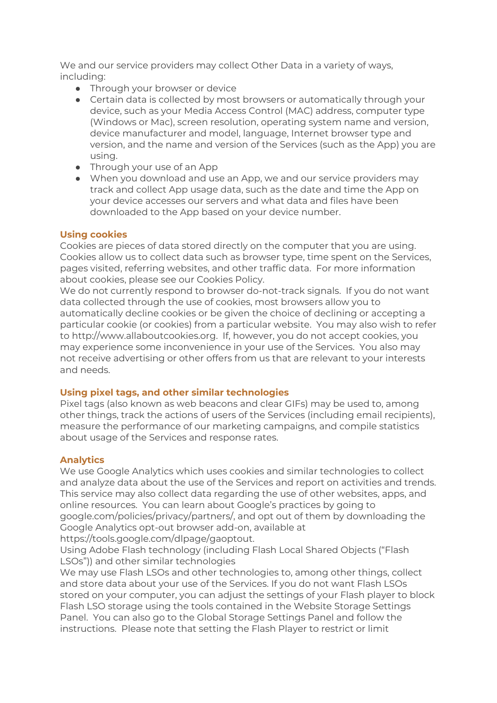We and our service providers may collect Other Data in a variety of ways, including:

- Through your browser or device
- Certain data is collected by most browsers or automatically through your device, such as your Media Access Control (MAC) address, computer type (Windows or Mac), screen resolution, operating system name and version, device manufacturer and model, language, Internet browser type and version, and the name and version of the Services (such as the App) you are using.
- Through your use of an App
- When you download and use an App, we and our service providers may track and collect App usage data, such as the date and time the App on your device accesses our servers and what data and files have been downloaded to the App based on your device number.

### **Using cookies**

Cookies are pieces of data stored directly on the computer that you are using. Cookies allow us to collect data such as browser type, time spent on the Services, pages visited, referring websites, and other traffic data. For more information about cookies, please see our Cookies Policy.

We do not currently respond to browser do-not-track signals. If you do not want data collected through the use of cookies, most browsers allow you to automatically decline cookies or be given the choice of declining or accepting a particular cookie (or cookies) from a particular website. You may also wish to refer to http://www.allaboutcookies.org. If, however, you do not accept cookies, you may experience some inconvenience in your use of the Services. You also may not receive advertising or other offers from us that are relevant to your interests and needs.

### **Using pixel tags, and other similar technologies**

Pixel tags (also known as web beacons and clear GIFs) may be used to, among other things, track the actions of users of the Services (including email recipients), measure the performance of our marketing campaigns, and compile statistics about usage of the Services and response rates.

## **Analytics**

We use Google Analytics which uses cookies and similar technologies to collect and analyze data about the use of the Services and report on activities and trends. This service may also collect data regarding the use of other websites, apps, and online resources. You can learn about Google's practices by going to google.com/policies/privacy/partners/, and opt out of them by downloading the Google Analytics opt-out browser add-on, available at https://tools.google.com/dlpage/gaoptout.

Using Adobe Flash technology (including Flash Local Shared Objects ("Flash LSOs")) and other similar technologies

We may use Flash LSOs and other technologies to, among other things, collect and store data about your use of the Services. If you do not want Flash LSOs stored on your computer, you can adjust the settings of your Flash player to block Flash LSO storage using the tools contained in the Website Storage Settings Panel. You can also go to the Global Storage Settings Panel and follow the instructions. Please note that setting the Flash Player to restrict or limit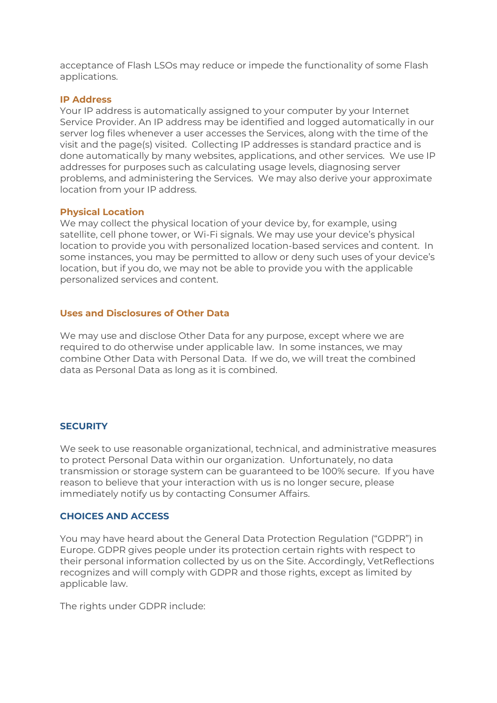acceptance of Flash LSOs may reduce or impede the functionality of some Flash applications.

#### **IP Address**

Your IP address is automatically assigned to your computer by your Internet Service Provider. An IP address may be identified and logged automatically in our server log files whenever a user accesses the Services, along with the time of the visit and the page(s) visited. Collecting IP addresses is standard practice and is done automatically by many websites, applications, and other services. We use IP addresses for purposes such as calculating usage levels, diagnosing server problems, and administering the Services. We may also derive your approximate location from your IP address.

#### **Physical Location**

We may collect the physical location of your device by, for example, using satellite, cell phone tower, or Wi-Fi signals. We may use your device's physical location to provide you with personalized location-based services and content. In some instances, you may be permitted to allow or deny such uses of your device's location, but if you do, we may not be able to provide you with the applicable personalized services and content.

### **Uses and Disclosures of Other Data**

We may use and disclose Other Data for any purpose, except where we are required to do otherwise under applicable law. In some instances, we may combine Other Data with Personal Data. If we do, we will treat the combined data as Personal Data as long as it is combined.

### **SECURITY**

We seek to use reasonable organizational, technical, and administrative measures to protect Personal Data within our organization. Unfortunately, no data transmission or storage system can be guaranteed to be 100% secure. If you have reason to believe that your interaction with us is no longer secure, please immediately notify us by contacting Consumer Affairs.

#### **CHOICES AND ACCESS**

You may have heard about the General Data Protection Regulation ("GDPR") in Europe. GDPR gives people under its protection certain rights with respect to their personal information collected by us on the Site. Accordingly, VetReflections recognizes and will comply with GDPR and those rights, except as limited by applicable law.

The rights under GDPR include: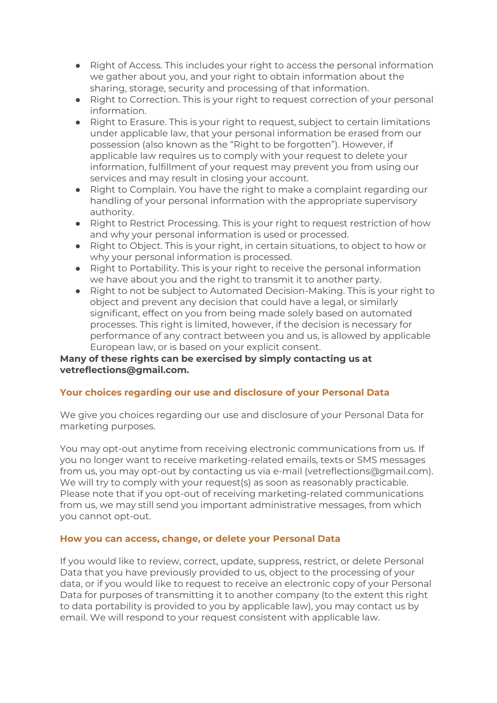- Right of Access. This includes your right to access the personal information we gather about you, and your right to obtain information about the sharing, storage, security and processing of that information.
- Right to Correction. This is your right to request correction of your personal information.
- Right to Erasure. This is your right to request, subject to certain limitations under applicable law, that your personal information be erased from our possession (also known as the "Right to be forgotten"). However, if applicable law requires us to comply with your request to delete your information, fulfillment of your request may prevent you from using our services and may result in closing your account.
- Right to Complain. You have the right to make a complaint regarding our handling of your personal information with the appropriate supervisory authority.
- Right to Restrict Processing. This is your right to request restriction of how and why your personal information is used or processed.
- Right to Object. This is your right, in certain situations, to object to how or why your personal information is processed.
- Right to Portability. This is your right to receive the personal information we have about you and the right to transmit it to another party.
- Right to not be subject to Automated Decision-Making. This is your right to object and prevent any decision that could have a legal, or similarly significant, effect on you from being made solely based on automated processes. This right is limited, however, if the decision is necessary for performance of any contract between you and us, is allowed by applicable European law, or is based on your explicit consent.

# **Many of these rights can be exercised by simply contacting us at vetreflections@gmail.com.**

## **Your choices regarding our use and disclosure of your Personal Data**

We give you choices regarding our use and disclosure of your Personal Data for marketing purposes.

You may opt-out anytime from receiving electronic communications from us. If you no longer want to receive marketing-related emails, texts or SMS messages from us, you may opt-out by contacting us via e-mail (vetreflections@gmail.com). We will try to comply with your request(s) as soon as reasonably practicable. Please note that if you opt-out of receiving marketing-related communications from us, we may still send you important administrative messages, from which you cannot opt-out.

## **How you can access, change, or delete your Personal Data**

If you would like to review, correct, update, suppress, restrict, or delete Personal Data that you have previously provided to us, object to the processing of your data, or if you would like to request to receive an electronic copy of your Personal Data for purposes of transmitting it to another company (to the extent this right to data portability is provided to you by applicable law), you may contact us by email. We will respond to your request consistent with applicable law.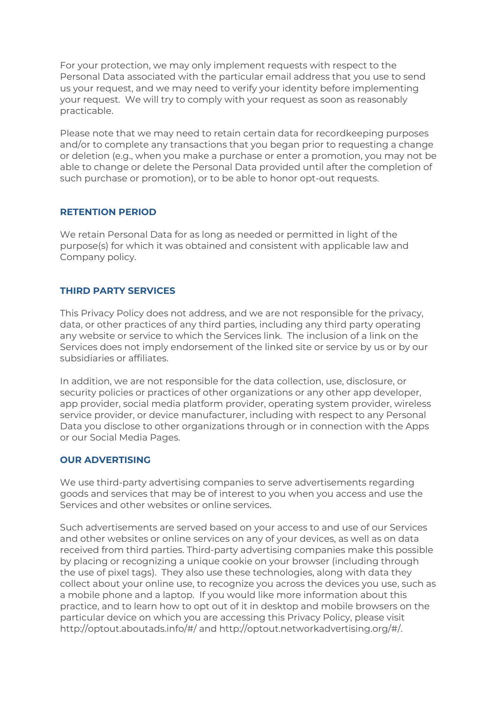For your protection, we may only implement requests with respect to the Personal Data associated with the particular email address that you use to send us your request, and we may need to verify your identity before implementing your request. We will try to comply with your request as soon as reasonably practicable.

Please note that we may need to retain certain data for recordkeeping purposes and/or to complete any transactions that you began prior to requesting a change or deletion (e.g., when you make a purchase or enter a promotion, you may not be able to change or delete the Personal Data provided until after the completion of such purchase or promotion), or to be able to honor opt-out requests.

## **RETENTION PERIOD**

We retain Personal Data for as long as needed or permitted in light of the purpose(s) for which it was obtained and consistent with applicable law and Company policy.

## **THIRD PARTY SERVICES**

This Privacy Policy does not address, and we are not responsible for the privacy, data, or other practices of any third parties, including any third party operating any website or service to which the Services link. The inclusion of a link on the Services does not imply endorsement of the linked site or service by us or by our subsidiaries or affiliates.

In addition, we are not responsible for the data collection, use, disclosure, or security policies or practices of other organizations or any other app developer, app provider, social media platform provider, operating system provider, wireless service provider, or device manufacturer, including with respect to any Personal Data you disclose to other organizations through or in connection with the Apps or our Social Media Pages.

## **OUR ADVERTISING**

We use third-party advertising companies to serve advertisements regarding goods and services that may be of interest to you when you access and use the Services and other websites or online services.

Such advertisements are served based on your access to and use of our Services and other websites or online services on any of your devices, as well as on data received from third parties. Third-party advertising companies make this possible by placing or recognizing a unique cookie on your browser (including through the use of pixel tags). They also use these technologies, along with data they collect about your online use, to recognize you across the devices you use, such as a mobile phone and a laptop. If you would like more information about this practice, and to learn how to opt out of it in desktop and mobile browsers on the particular device on which you are accessing this Privacy Policy, please visit http://optout.aboutads.info/#/ and http://optout.networkadvertising.org/#/.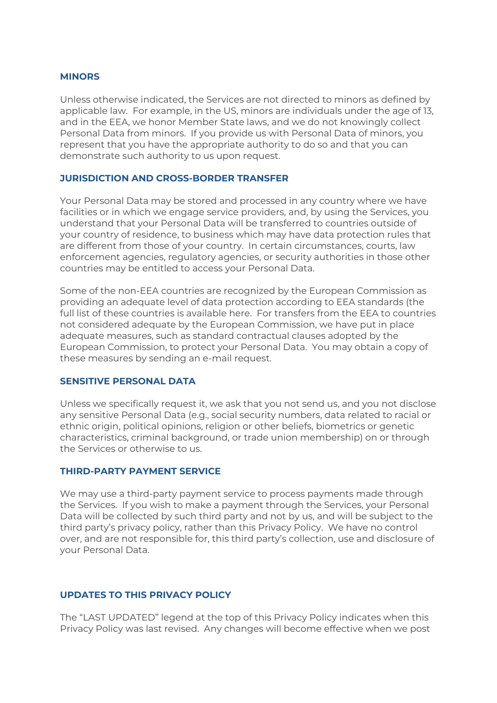#### **MINORS**

Unless otherwise indicated, the Services are not directed to minors as defined by applicable law. For example, in the US, minors are individuals under the age of 13, and in the EEA, we honor Member State laws, and we do not knowingly collect Personal Data from minors. If you provide us with Personal Data of minors, you represent that you have the appropriate authority to do so and that you can demonstrate such authority to us upon request.

### **JURISDICTION AND CROSS-BORDER TRANSFER**

Your Personal Data may be stored and processed in any country where we have facilities or in which we engage service providers, and, by using the Services, you understand that your Personal Data will be transferred to countries outside of your country of residence, to business which may have data protection rules that are different from those of your country. In certain circumstances, courts, law enforcement agencies, regulatory agencies, or security authorities in those other countries may be entitled to access your Personal Data.

Some of the non-EEA countries are recognized by the European Commission as providing an adequate level of data protection according to EEA standards (the full list of these countries is available here. For transfers from the EEA to countries not considered adequate by the European Commission, we have put in place adequate measures, such as standard contractual clauses adopted by the European Commission, to protect your Personal Data. You may obtain a copy of these measures by sending an e-mail request.

#### **SENSITIVE PERSONAL DATA**

Unless we specifically request it, we ask that you not send us, and you not disclose any sensitive Personal Data (e.g., social security numbers, data related to racial or ethnic origin, political opinions, religion or other beliefs, biometrics or genetic characteristics, criminal background, or trade union membership) on or through the Services or otherwise to us.

#### **THIRD-PARTY PAYMENT SERVICE**

We may use a third-party payment service to process payments made through the Services. If you wish to make a payment through the Services, your Personal Data will be collected by such third party and not by us, and will be subject to the third party's privacy policy, rather than this Privacy Policy. We have no control over, and are not responsible for, this third party's collection, use and disclosure of your Personal Data.

### **UPDATES TO THIS PRIVACY POLICY**

The "LAST UPDATED" legend at the top of this Privacy Policy indicates when this Privacy Policy was last revised. Any changes will become effective when we post